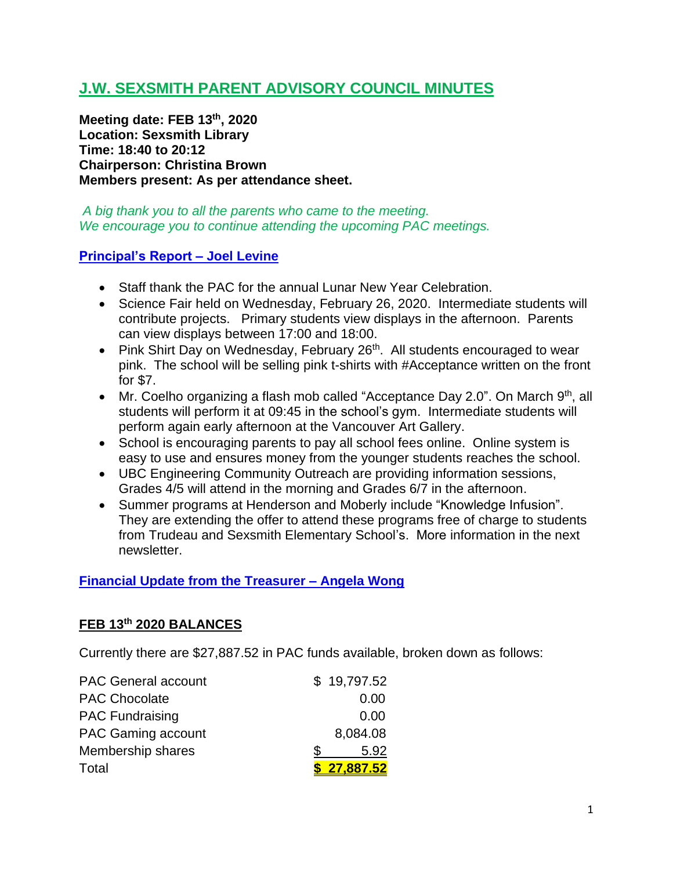# **J.W. SEXSMITH PARENT ADVISORY COUNCIL MINUTES**

**Meeting date: FEB 13th , 2020 Location: Sexsmith Library Time: 18:40 to 20:12 Chairperson: Christina Brown Members present: As per attendance sheet.**

*A big thank you to all the parents who came to the meeting. We encourage you to continue attending the upcoming PAC meetings.*

#### **Principal's Report – Joel Levine**

- Staff thank the PAC for the annual Lunar New Year Celebration.
- Science Fair held on Wednesday, February 26, 2020. Intermediate students will contribute projects. Primary students view displays in the afternoon. Parents can view displays between 17:00 and 18:00.
- Pink Shirt Day on Wednesday, February  $26<sup>th</sup>$ . All students encouraged to wear pink. The school will be selling pink t-shirts with #Acceptance written on the front for \$7.
- Mr. Coelho organizing a flash mob called "Acceptance Day 2.0". On March  $9<sup>th</sup>$ , all students will perform it at 09:45 in the school's gym. Intermediate students will perform again early afternoon at the Vancouver Art Gallery.
- School is encouraging parents to pay all school fees online. Online system is easy to use and ensures money from the younger students reaches the school.
- UBC Engineering Community Outreach are providing information sessions, Grades 4/5 will attend in the morning and Grades 6/7 in the afternoon.
- Summer programs at Henderson and Moberly include "Knowledge Infusion". They are extending the offer to attend these programs free of charge to students from Trudeau and Sexsmith Elementary School's. More information in the next newsletter.

#### **Financial Update from the Treasurer – Angela Wong**

#### **FEB 13th 2020 BALANCES**

Currently there are \$27,887.52 in PAC funds available, broken down as follows:

| <b>PAC General account</b> | \$19,797.52 |
|----------------------------|-------------|
| <b>PAC Chocolate</b>       | 0.00        |
| <b>PAC Fundraising</b>     | 0.00        |
| <b>PAC Gaming account</b>  | 8,084.08    |
| Membership shares          | 5.92        |
| Total                      | \$27,887.52 |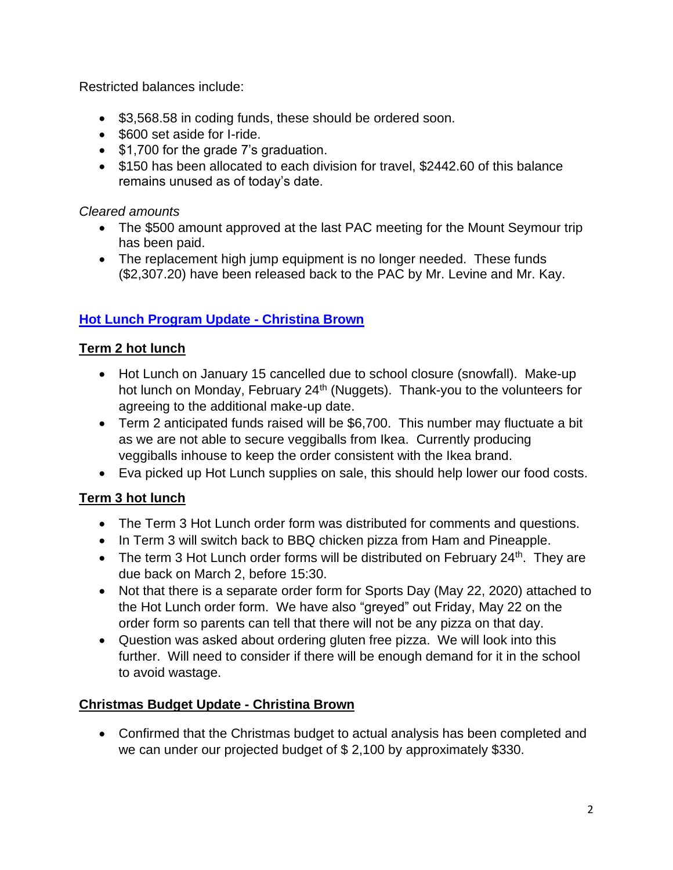Restricted balances include:

- \$3,568.58 in coding funds, these should be ordered soon.
- \$600 set aside for I-ride.
- \$1,700 for the grade 7's graduation.
- \$150 has been allocated to each division for travel, \$2442.60 of this balance remains unused as of today's date.

*Cleared amounts*

- The \$500 amount approved at the last PAC meeting for the Mount Seymour trip has been paid.
- The replacement high jump equipment is no longer needed. These funds (\$2,307.20) have been released back to the PAC by Mr. Levine and Mr. Kay.

## **Hot Lunch Program Update - Christina Brown**

## **Term 2 hot lunch**

- Hot Lunch on January 15 cancelled due to school closure (snowfall). Make-up hot lunch on Monday, February 24<sup>th</sup> (Nuggets). Thank-you to the volunteers for agreeing to the additional make-up date.
- Term 2 anticipated funds raised will be \$6,700. This number may fluctuate a bit as we are not able to secure veggiballs from Ikea. Currently producing veggiballs inhouse to keep the order consistent with the Ikea brand.
- Eva picked up Hot Lunch supplies on sale, this should help lower our food costs.

### **Term 3 hot lunch**

- The Term 3 Hot Lunch order form was distributed for comments and questions.
- In Term 3 will switch back to BBQ chicken pizza from Ham and Pineapple.
- The term 3 Hot Lunch order forms will be distributed on February  $24<sup>th</sup>$ . They are due back on March 2, before 15:30.
- Not that there is a separate order form for Sports Day (May 22, 2020) attached to the Hot Lunch order form. We have also "greyed" out Friday, May 22 on the order form so parents can tell that there will not be any pizza on that day.
- Question was asked about ordering gluten free pizza. We will look into this further. Will need to consider if there will be enough demand for it in the school to avoid wastage.

### **Christmas Budget Update - Christina Brown**

• Confirmed that the Christmas budget to actual analysis has been completed and we can under our projected budget of \$ 2,100 by approximately \$330.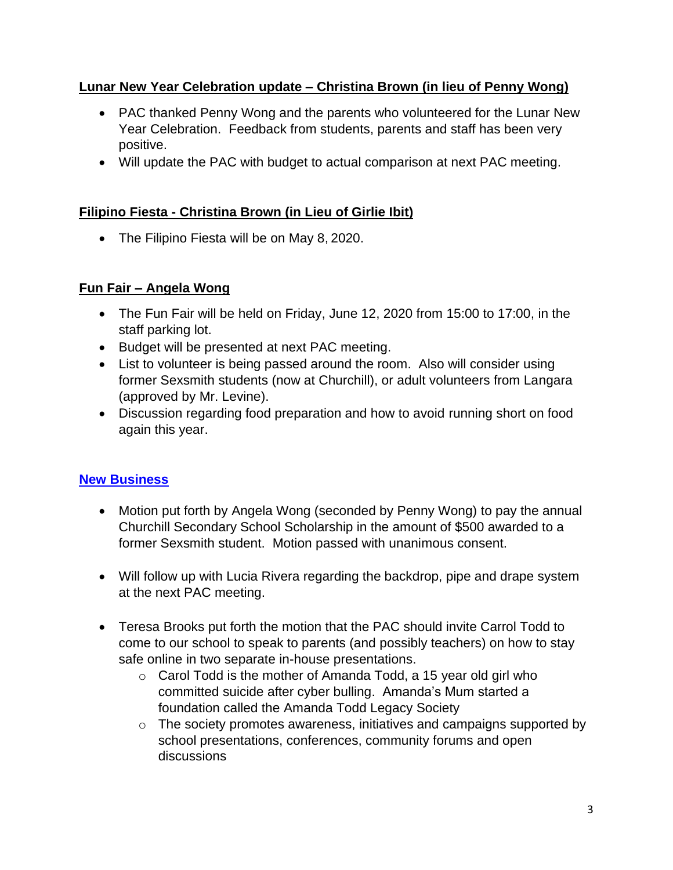#### **Lunar New Year Celebration update – Christina Brown (in lieu of Penny Wong)**

- PAC thanked Penny Wong and the parents who volunteered for the Lunar New Year Celebration. Feedback from students, parents and staff has been very positive.
- Will update the PAC with budget to actual comparison at next PAC meeting.

#### **Filipino Fiesta - Christina Brown (in Lieu of Girlie Ibit)**

• The Filipino Fiesta will be on May 8, 2020.

#### **Fun Fair – Angela Wong**

- The Fun Fair will be held on Friday, June 12, 2020 from 15:00 to 17:00, in the staff parking lot.
- Budget will be presented at next PAC meeting.
- List to volunteer is being passed around the room. Also will consider using former Sexsmith students (now at Churchill), or adult volunteers from Langara (approved by Mr. Levine).
- Discussion regarding food preparation and how to avoid running short on food again this year.

### **New Business**

- Motion put forth by Angela Wong (seconded by Penny Wong) to pay the annual Churchill Secondary School Scholarship in the amount of \$500 awarded to a former Sexsmith student. Motion passed with unanimous consent.
- Will follow up with Lucia Rivera regarding the backdrop, pipe and drape system at the next PAC meeting.
- Teresa Brooks put forth the motion that the PAC should invite Carrol Todd to come to our school to speak to parents (and possibly teachers) on how to stay safe online in two separate in-house presentations.
	- $\circ$  Carol Todd is the mother of Amanda Todd, a 15 year old girl who committed suicide after cyber bulling. Amanda's Mum started a foundation called the Amanda Todd Legacy Society
	- o The society promotes awareness, initiatives and campaigns supported by school presentations, conferences, community forums and open discussions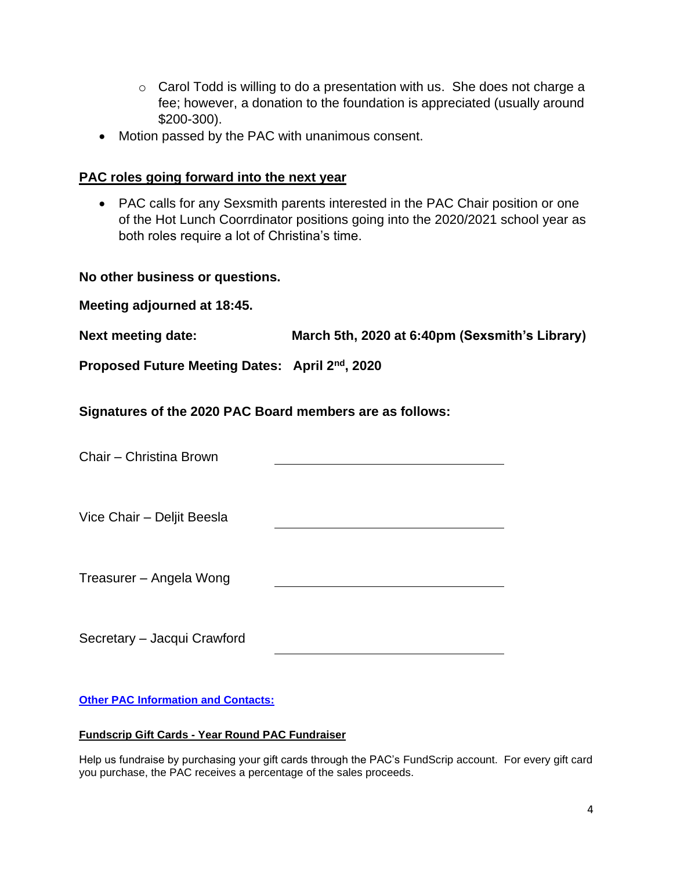- $\circ$  Carol Todd is willing to do a presentation with us. She does not charge a fee; however, a donation to the foundation is appreciated (usually around \$200-300).
- Motion passed by the PAC with unanimous consent.

#### **PAC roles going forward into the next year**

• PAC calls for any Sexsmith parents interested in the PAC Chair position or one of the Hot Lunch Coorrdinator positions going into the 2020/2021 school year as both roles require a lot of Christina's time.

**No other business or questions.**

| <b>Next meeting date:</b> | March 5th, 2020 at 6:40pm (Sexsmith's Library) |  |
|---------------------------|------------------------------------------------|--|
|                           |                                                |  |

**Proposed Future Meeting Dates: April 2nd, 2020**

**Signatures of the 2020 PAC Board members are as follows:**

| Chair - Christina Brown     |  |
|-----------------------------|--|
| Vice Chair - Deljit Beesla  |  |
| Treasurer – Angela Wong     |  |
| Secretary - Jacqui Crawford |  |

**Other PAC Information and Contacts:**

#### **Fundscrip Gift Cards - Year Round PAC Fundraiser**

Help us fundraise by purchasing your gift cards through the PAC's FundScrip account. For every gift card you purchase, the PAC receives a percentage of the sales proceeds.